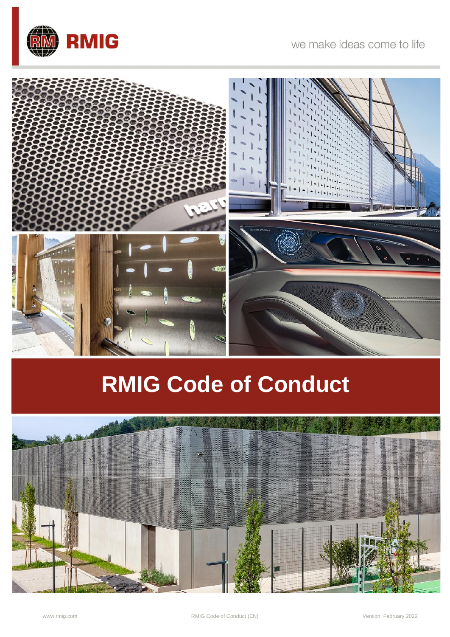

# **RMIG Code of Conduct**

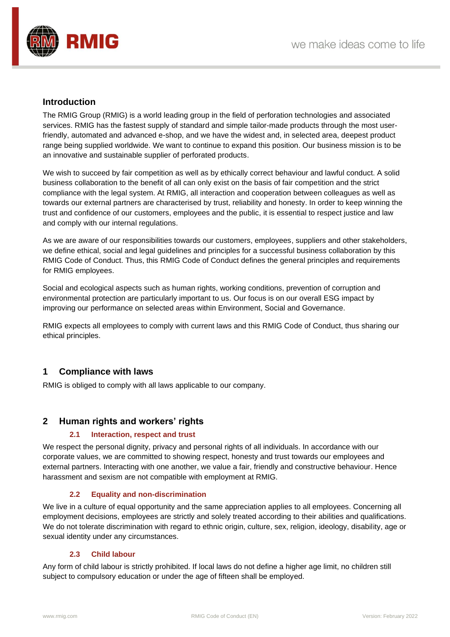

# **Introduction**

The RMIG Group (RMIG) is a world leading group in the field of perforation technologies and associated services. RMIG has the fastest supply of standard and simple tailor-made products through the most userfriendly, automated and advanced e-shop, and we have the widest and, in selected area, deepest product range being supplied worldwide. We want to continue to expand this position. Our business mission is to be an innovative and sustainable supplier of perforated products.

We wish to succeed by fair competition as well as by ethically correct behaviour and lawful conduct. A solid business collaboration to the benefit of all can only exist on the basis of fair competition and the strict compliance with the legal system. At RMIG, all interaction and cooperation between colleagues as well as towards our external partners are characterised by trust, reliability and honesty. In order to keep winning the trust and confidence of our customers, employees and the public, it is essential to respect justice and law and comply with our internal regulations.

As we are aware of our responsibilities towards our customers, employees, suppliers and other stakeholders, we define ethical, social and legal guidelines and principles for a successful business collaboration by this RMIG Code of Conduct. Thus, this RMIG Code of Conduct defines the general principles and requirements for RMIG employees.

Social and ecological aspects such as human rights, working conditions, prevention of corruption and environmental protection are particularly important to us. Our focus is on our overall ESG impact by improving our performance on selected areas within Environment, Social and Governance.

RMIG expects all employees to comply with current laws and this RMIG Code of Conduct, thus sharing our ethical principles.

# **1 Compliance with laws**

RMIG is obliged to comply with all laws applicable to our company.

# **2 Human rights and workers' rights**

#### **2.1 Interaction, respect and trust**

We respect the personal dignity, privacy and personal rights of all individuals. In accordance with our corporate values, we are committed to showing respect, honesty and trust towards our employees and external partners. Interacting with one another, we value a fair, friendly and constructive behaviour. Hence harassment and sexism are not compatible with employment at RMIG.

#### **2.2 Equality and non-discrimination**

We live in a culture of equal opportunity and the same appreciation applies to all employees. Concerning all employment decisions, employees are strictly and solely treated according to their abilities and qualifications. We do not tolerate discrimination with regard to ethnic origin, culture, sex, religion, ideology, disability, age or sexual identity under any circumstances.

#### **2.3 Child labour**

Any form of child labour is strictly prohibited. If local laws do not define a higher age limit, no children still subject to compulsory education or under the age of fifteen shall be employed.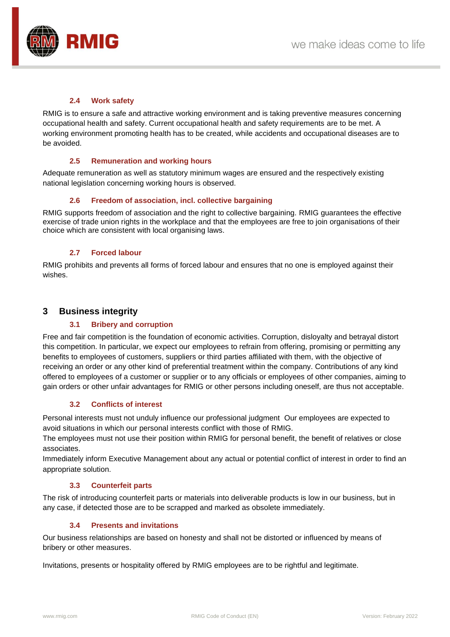

#### **2.4 Work safety**

RMIG is to ensure a safe and attractive working environment and is taking preventive measures concerning occupational health and safety. Current occupational health and safety requirements are to be met. A working environment promoting health has to be created, while accidents and occupational diseases are to be avoided.

#### **2.5 Remuneration and working hours**

Adequate remuneration as well as statutory minimum wages are ensured and the respectively existing national legislation concerning working hours is observed.

#### **2.6 Freedom of association, incl. collective bargaining**

RMIG supports freedom of association and the right to collective bargaining. RMIG guarantees the effective exercise of trade union rights in the workplace and that the employees are free to join organisations of their choice which are consistent with local organising laws.

#### **2.7 Forced labour**

RMIG prohibits and prevents all forms of forced labour and ensures that no one is employed against their wishes.

# **3 Business integrity**

#### **3.1 Bribery and corruption**

Free and fair competition is the foundation of economic activities. Corruption, disloyalty and betrayal distort this competition. In particular, we expect our employees to refrain from offering, promising or permitting any benefits to employees of customers, suppliers or third parties affiliated with them, with the objective of receiving an order or any other kind of preferential treatment within the company. Contributions of any kind offered to employees of a customer or supplier or to any officials or employees of other companies, aiming to gain orders or other unfair advantages for RMIG or other persons including oneself, are thus not acceptable.

#### **3.2 Conflicts of interest**

Personal interests must not unduly influence our professional judgment Our employees are expected to avoid situations in which our personal interests conflict with those of RMIG.

The employees must not use their position within RMIG for personal benefit, the benefit of relatives or close associates.

Immediately inform Executive Management about any actual or potential conflict of interest in order to find an appropriate solution.

#### **3.3 Counterfeit parts**

The risk of introducing counterfeit parts or materials into deliverable products is low in our business, but in any case, if detected those are to be scrapped and marked as obsolete immediately.

# **3.4 Presents and invitations**

Our business relationships are based on honesty and shall not be distorted or influenced by means of bribery or other measures.

Invitations, presents or hospitality offered by RMIG employees are to be rightful and legitimate.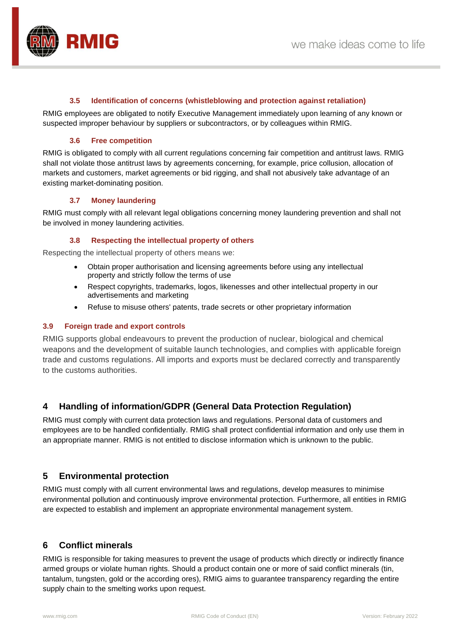

#### **3.5 Identification of concerns (whistleblowing and protection against retaliation)**

RMIG employees are obligated to notify Executive Management immediately upon learning of any known or suspected improper behaviour by suppliers or subcontractors, or by colleagues within RMIG.

#### **3.6 Free competition**

RMIG is obligated to comply with all current regulations concerning fair competition and antitrust laws. RMIG shall not violate those antitrust laws by agreements concerning, for example, price collusion, allocation of markets and customers, market agreements or bid rigging, and shall not abusively take advantage of an existing market-dominating position.

#### **3.7 Money laundering**

RMIG must comply with all relevant legal obligations concerning money laundering prevention and shall not be involved in money laundering activities.

#### **3.8 Respecting the intellectual property of others**

Respecting the intellectual property of others means we:

- Obtain proper authorisation and licensing agreements before using any intellectual property and strictly follow the terms of use
- Respect copyrights, trademarks, logos, likenesses and other intellectual property in our advertisements and marketing
- Refuse to misuse others' patents, trade secrets or other proprietary information

#### **3.9 Foreign trade and export controls**

RMIG supports global endeavours to prevent the production of nuclear, biological and chemical weapons and the development of suitable launch technologies, and complies with applicable foreign trade and customs regulations. All imports and exports must be declared correctly and transparently to the customs authorities.

# **4 Handling of information/GDPR (General Data Protection Regulation)**

RMIG must comply with current data protection laws and regulations. Personal data of customers and employees are to be handled confidentially. RMIG shall protect confidential information and only use them in an appropriate manner. RMIG is not entitled to disclose information which is unknown to the public.

# **5 Environmental protection**

RMIG must comply with all current environmental laws and regulations, develop measures to minimise environmental pollution and continuously improve environmental protection. Furthermore, all entities in RMIG are expected to establish and implement an appropriate environmental management system.

# **6 Conflict minerals**

RMIG is responsible for taking measures to prevent the usage of products which directly or indirectly finance armed groups or violate human rights. Should a product contain one or more of said conflict minerals (tin, tantalum, tungsten, gold or the according ores), RMIG aims to guarantee transparency regarding the entire supply chain to the smelting works upon request.